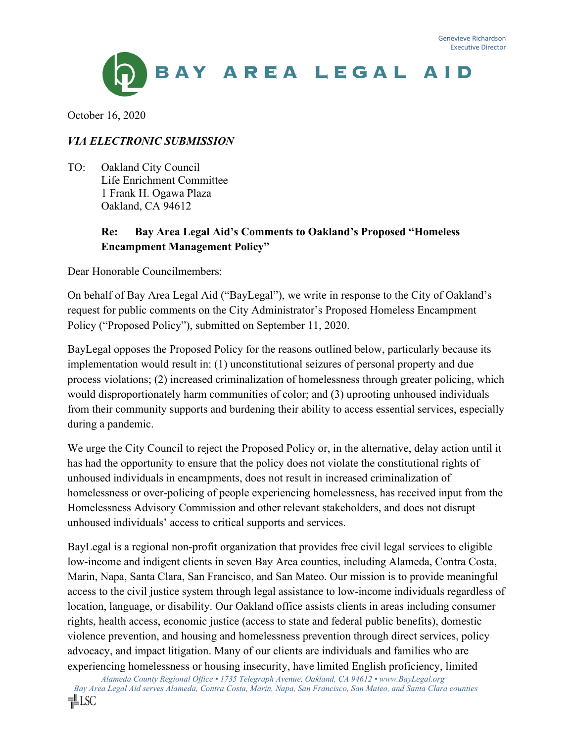

October 16, 2020

### *VIA ELECTRONIC SUBMISSION*

TO: Oakland City Council Life Enrichment Committee 1 Frank H. Ogawa Plaza Oakland, CA 94612

### **Re: Bay Area Legal Aid's Comments to Oakland's Proposed "Homeless Encampment Management Policy"**

Dear Honorable Councilmembers:

On behalf of Bay Area Legal Aid ("BayLegal"), we write in response to the City of Oakland's request for public comments on the City Administrator's Proposed Homeless Encampment Policy ("Proposed Policy"), submitted on September 11, 2020.

BayLegal opposes the Proposed Policy for the reasons outlined below, particularly because its implementation would result in: (1) unconstitutional seizures of personal property and due process violations; (2) increased criminalization of homelessness through greater policing, which would disproportionately harm communities of color; and (3) uprooting unhoused individuals from their community supports and burdening their ability to access essential services, especially during a pandemic.

We urge the City Council to reject the Proposed Policy or, in the alternative, delay action until it has had the opportunity to ensure that the policy does not violate the constitutional rights of unhoused individuals in encampments, does not result in increased criminalization of homelessness or over-policing of people experiencing homelessness, has received input from the Homelessness Advisory Commission and other relevant stakeholders, and does not disrupt unhoused individuals' access to critical supports and services.

BayLegal is a regional non-profit organization that provides free civil legal services to eligible low-income and indigent clients in seven Bay Area counties, including Alameda, Contra Costa, Marin, Napa, Santa Clara, San Francisco, and San Mateo. Our mission is to provide meaningful access to the civil justice system through legal assistance to low-income individuals regardless of location, language, or disability. Our Oakland office assists clients in areas including consumer rights, health access, economic justice (access to state and federal public benefits), domestic violence prevention, and housing and homelessness prevention through direct services, policy advocacy, and impact litigation. Many of our clients are individuals and families who are experiencing homelessness or housing insecurity, have limited English proficiency, limited

*Alameda County Regional Office • 1735 Telegraph Avenue, Oakland, CA 94612 • www.BayLegal.org Bay Area Legal Aid serves Alameda, Contra Costa, Marin, Napa, San Francisco, San Mateo, and Santa Clara counties*  ¶LSC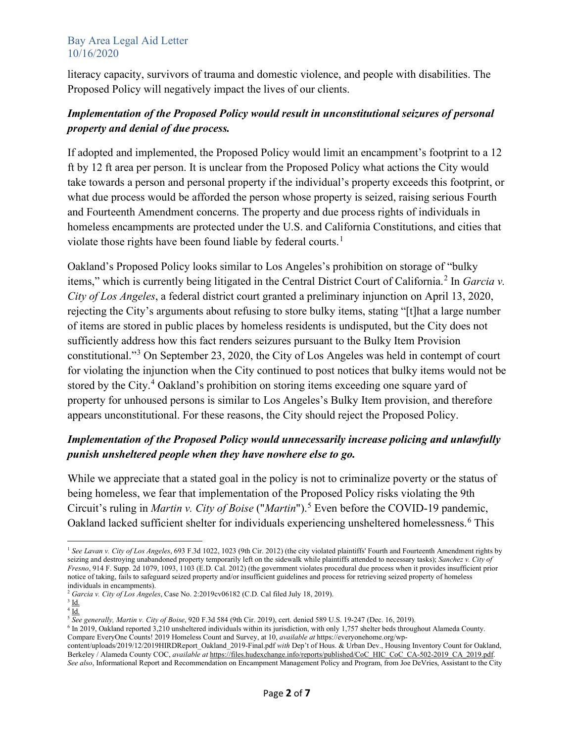literacy capacity, survivors of trauma and domestic violence, and people with disabilities. The Proposed Policy will negatively impact the lives of our clients.

## *Implementation of the Proposed Policy would result in unconstitutional seizures of personal property and denial of due process.*

If adopted and implemented, the Proposed Policy would limit an encampment's footprint to a 12 ft by 12 ft area per person. It is unclear from the Proposed Policy what actions the City would take towards a person and personal property if the individual's property exceeds this footprint, or what due process would be afforded the person whose property is seized, raising serious Fourth and Fourteenth Amendment concerns. The property and due process rights of individuals in homeless encampments are protected under the U.S. and California Constitutions, and cities that violate those rights have been found liable by federal courts.<sup>[1](#page-1-0)</sup>

Oakland's Proposed Policy looks similar to Los Angeles's prohibition on storage of "bulky items," which is currently being litigated in the Central District Court of California.<sup>[2](#page-1-1)</sup> In *Garcia v*. *City of Los Angeles*, a federal district court granted a preliminary injunction on April 13, 2020, rejecting the City's arguments about refusing to store bulky items, stating "[t]hat a large number of items are stored in public places by homeless residents is undisputed, but the City does not sufficiently address how this fact renders seizures pursuant to the Bulky Item Provision constitutional."[3](#page-1-2) On September 23, 2020, the City of Los Angeles was held in contempt of court for violating the injunction when the City continued to post notices that bulky items would not be stored by the City.<sup>[4](#page-1-3)</sup> Oakland's prohibition on storing items exceeding one square yard of property for unhoused persons is similar to Los Angeles's Bulky Item provision, and therefore appears unconstitutional. For these reasons, the City should reject the Proposed Policy.

# *Implementation of the Proposed Policy would unnecessarily increase policing and unlawfully punish unsheltered people when they have nowhere else to go.*

While we appreciate that a stated goal in the policy is not to criminalize poverty or the status of being homeless, we fear that implementation of the Proposed Policy risks violating the 9th Circuit's ruling in *Martin v. City of Boise* ("*Martin*"). [5](#page-1-4) Even before the COVID-19 pandemic, Oakland lacked sufficient shelter for individuals experiencing unsheltered homelessness.<sup>[6](#page-1-5)</sup> This

<span id="page-1-2"></span><span id="page-1-1"></span><sup>2</sup> *Garcia v. City of Los Angeles*, Case No. 2:2019cv06182 (C.D. Cal filed July 18, 2019). 3 Id.

<span id="page-1-0"></span><sup>&</sup>lt;sup>1</sup> See Lavan v. City of Los Angeles, 693 F.3d 1022, 1023 (9th Cir. 2012) (the city violated plaintiffs' Fourth and Fourteenth Amendment rights by seizing and destroying unabandoned property temporarily left on the sidewalk while plaintiffs attended to necessary tasks); *Sanchez v. City of Fresno*, 914 F. Supp. 2d 1079, 1093, 1103 (E.D. Cal. 2012) (the government violates procedural due process when it provides insufficient prior notice of taking, fails to safeguard seized property and/or insufficient guidelines and process for retrieving seized property of homeless individuals in encampments).

<span id="page-1-3"></span> $4\frac{Id}{Id}$ .<br><sup>5</sup> See generally, Martin v. City of Boise, 920 F.3d 584 (9th Cir. 2019), cert. denied 589 U.S. 19-247 (Dec. 16, 2019).

<span id="page-1-5"></span><span id="page-1-4"></span> $6$  In 2019, Oakland reported  $3,210$  unsheltered individuals within its jurisdiction, with only 1,757 shelter beds throughout Alameda County. Compare EveryOne Counts! 2019 Homeless Count and Survey, at 10, *available at* [https://everyonehome.org/wp-](https://everyonehome.org/wp-content/uploads/2019/12/2019HIRDReport_Oakland_2019-Final.pdf)

[content/uploads/2019/12/2019HIRDReport\\_Oakland\\_2019-Final.pdf](https://everyonehome.org/wp-content/uploads/2019/12/2019HIRDReport_Oakland_2019-Final.pdf) *with* Dep't of Hous. & Urban Dev., Housing Inventory Count for Oakland, Berkeley / Alameda County COC, *available at* [https://files.hudexchange.info/reports/published/CoC\\_HIC\\_CoC\\_CA-502-2019\\_CA\\_2019.pdf.](https://files.hudexchange.info/reports/published/CoC_HIC_CoC_CA-502-2019_CA_2019.pdf)  *See also*, Informational Report and Recommendation on Encampment Management Policy and Program, from Joe DeVries, Assistant to the City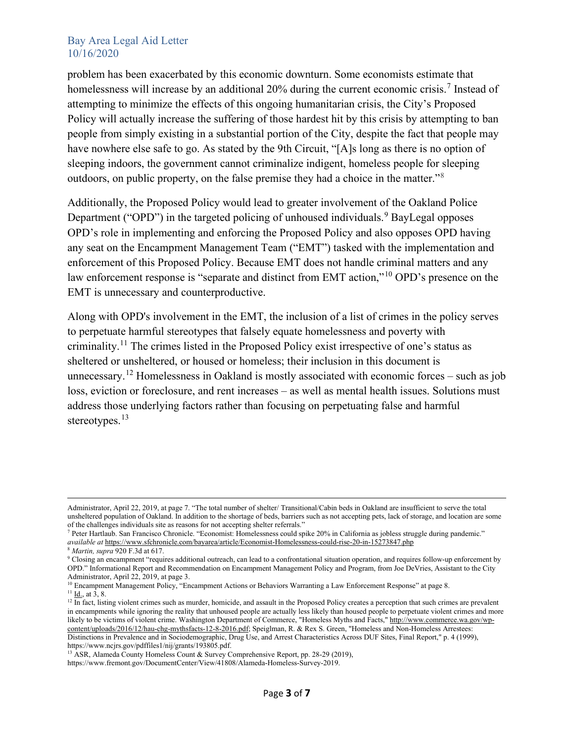problem has been exacerbated by this economic downturn. Some economists estimate that homelessness will increase by an additional 20% during the current economic crisis.<sup>[7](#page-2-0)</sup> Instead of attempting to minimize the effects of this ongoing humanitarian crisis, the City's Proposed Policy will actually increase the suffering of those hardest hit by this crisis by attempting to ban people from simply existing in a substantial portion of the City, despite the fact that people may have nowhere else safe to go. As stated by the 9th Circuit, "[A]s long as there is no option of sleeping indoors, the government cannot criminalize indigent, homeless people for sleeping outdoors, on public property, on the false premise they had a choice in the matter."[8](#page-2-1)

Additionally, the Proposed Policy would lead to greater involvement of the Oakland Police Department ("OPD") in the targeted policing of unhoused individuals.<sup>[9](#page-2-2)</sup> BayLegal opposes OPD's role in implementing and enforcing the Proposed Policy and also opposes OPD having any seat on the Encampment Management Team ("EMT") tasked with the implementation and enforcement of this Proposed Policy. Because EMT does not handle criminal matters and any law enforcement response is "separate and distinct from EMT action,"[10](#page-2-3) OPD's presence on the EMT is unnecessary and counterproductive.

Along with OPD's involvement in the EMT, the inclusion of a list of crimes in the policy serves to perpetuate harmful stereotypes that falsely equate homelessness and poverty with criminality.<sup>[11](#page-2-4)</sup> The crimes listed in the Proposed Policy exist irrespective of one's status as sheltered or unsheltered, or housed or homeless; their inclusion in this document is unnecessary.<sup>[12](#page-2-5)</sup> Homelessness in Oakland is mostly associated with economic forces – such as job loss, eviction or foreclosure, and rent increases – as well as mental health issues. Solutions must address those underlying factors rather than focusing on perpetuating false and harmful stereotypes.<sup>[13](#page-2-6)</sup>

Administrator, April 22, 2019, at page 7. "The total number of shelter/ Transitional/Cabin beds in Oakland are insufficient to serve the total unsheltered population of Oakland. In addition to the shortage of beds, barriers such as not accepting pets, lack of storage, and location are some of the challenges individuals site as reasons for not accepting shelter referrals."

<span id="page-2-0"></span><sup>7</sup> [Peter Hartlaub. San Francisco Chronicle. "E](https://www.sfchronicle.com/author/peter-hartlaub/)conomist: Homelessness could [spike 20% in California as jobless struggle during pandemic."](https://www.sfchronicle.com/author/peter-hartlaub/)  *[available at](https://www.sfchronicle.com/author/peter-hartlaub/)* <https://www.sfchronicle.com/bayarea/article/Economist-Homelessness-could-rise-20-in-15273847.php>

<sup>8</sup> *[Martin, supra](https://advance.lexis.com/api/document/collection/cases/id/5VSN-K6C1-JBDT-B3SG-00000-00?page=617&reporter=1107&cite=920%20F.3d%20584&context=1000516)* [920 F.3d at 617.](https://advance.lexis.com/api/document/collection/cases/id/5VSN-K6C1-JBDT-B3SG-00000-00?page=617&reporter=1107&cite=920%20F.3d%20584&context=1000516)

<span id="page-2-2"></span><span id="page-2-1"></span><sup>&</sup>lt;sup>9</sup> Closing an encampment "requires additional outreach, can lead to a confrontational situation operation, and requires follow-up enforcement by OPD." Informational Report and Recommendation on Encampment Management Policy and Program, from Joe DeVries, Assistant to the City Administrator, April 22, 2019, at page 3.

<span id="page-2-3"></span><sup>&</sup>lt;sup>10</sup> Encampment Management Policy, "Encampment Actions or Behaviors Warranting a Law Enforcement Response" at page 8.  $11$  I<u>d.,</u> at  $3, 8$ .

<span id="page-2-5"></span><span id="page-2-4"></span> $12 \text{ In fact, listing violent crimes such as murder, homicide, and assault in the Proposed Policy creates a perception that such crimes are prevalent.}$ in encampments while ignoring the reality that unhoused people are actually less likely than housed people to perpetuate violent crimes and more likely to be victims of violent crime. Washington Department of Commerce, "Homeless Myths and Facts," [http://www.commerce.wa.gov/wp](http://www.commerce.wa.gov/wp-content/uploads/2016/12/hau-chg-mythsfacts-12-8-2016.pdf)[content/uploads/2016/12/hau-chg-mythsfacts-12-8-2016.pdf;](http://www.commerce.wa.gov/wp-content/uploads/2016/12/hau-chg-mythsfacts-12-8-2016.pdf) Speiglman, R. & Rex S. Green, "Homeless and Non-Homeless Arrestees: Distinctions in Prevalence and in Sociodemographic, Drug Use, and Arrest Characteristics Across DUF Sites, Final Report," p. 4 (1999), https://www.ncjrs.gov/pdffiles1/nij/grants/193805.pdf.

<span id="page-2-6"></span><sup>&</sup>lt;sup>13</sup> ASR, Alameda County Homeless Count & Survey Comprehensive Report, pp. 28-29 (2019),

https://www.fremont.gov/DocumentCenter/View/41808/Alameda-Homeless-Survey-2019.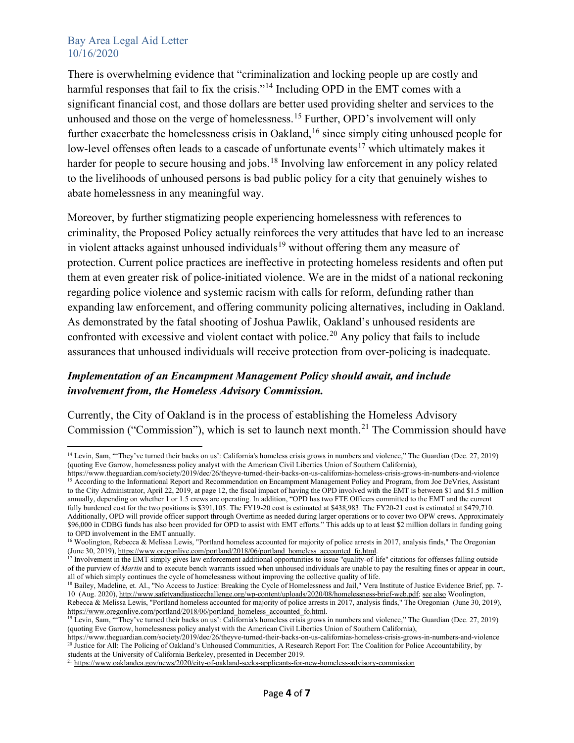There is overwhelming evidence that "criminalization and locking people up are costly and harmful responses that fail to fix the crisis."[14](#page-3-0) Including OPD in the EMT comes with a significant financial cost, and those dollars are better used providing shelter and services to the unhoused and those on the verge of homelessness. [15](#page-3-1) Further, OPD's involvement will only further exacerbate the homelessness crisis in Oakland,<sup>[16](#page-3-2)</sup> since simply citing unhoused people for low-level offenses often leads to a cascade of unfortunate events<sup>[17](#page-3-3)</sup> which ultimately makes it harder for people to secure housing and jobs.<sup>[18](#page-3-4)</sup> Involving law enforcement in any policy related to the livelihoods of unhoused persons is bad public policy for a city that genuinely wishes to abate homelessness in any meaningful way.

Moreover, by further stigmatizing people experiencing homelessness with references to criminality, the Proposed Policy actually reinforces the very attitudes that have led to an increase in violent attacks against unhoused individuals<sup>[19](#page-3-5)</sup> without offering them any measure of protection. Current police practices are ineffective in protecting homeless residents and often put them at even greater risk of police-initiated violence. We are in the midst of a national reckoning regarding police violence and systemic racism with calls for reform, defunding rather than expanding law enforcement, and offering community policing alternatives, including in Oakland. As demonstrated by the fatal shooting of Joshua Pawlik, Oakland's unhoused residents are confronted with excessive and violent contact with police.<sup>[20](#page-3-6)</sup> Any policy that fails to include assurances that unhoused individuals will receive protection from over-policing is inadequate.

## *Implementation of an Encampment Management Policy should await, and include involvement from, the Homeless Advisory Commission.*

Currently, the City of Oakland is in the process of establishing the Homeless Advisory Commission ("Commission"), which is set to launch next month.<sup>[21](#page-3-7)</sup> The Commission should have

<span id="page-3-0"></span><sup>&</sup>lt;sup>14</sup> Levin, Sam, "They've turned their backs on us': California's homeless crisis grows in numbers and violence," The Guardian (Dec. 27, 2019) (quoting Eve Garrow, homelessness policy analyst with the American Civil Liberties Union of Southern California),

<span id="page-3-1"></span>https://www.theguardian.com/society/2019/dec/26/theyve-turned-their-backs-on-us-californias-homeless-crisis-grows-in-numbers-and-violence <sup>15</sup> According to the Informational Report and Recommendation on Encampment Management Policy and Program, from Joe DeVries, Assistant to the City Administrator, April 22, 2019, at page 12, the fiscal impact of having the OPD involved with the EMT is between \$1 and \$1.5 million annually, depending on whether 1 or 1.5 crews are operating. In addition, "OPD has two FTE Officers committed to the EMT and the current fully burdened cost for the two positions is \$391,105. The FY19-20 cost is estimated at \$438,983. The FY20-21 cost is estimated at \$479,710. Additionally, OPD will provide officer support through Overtime as needed during larger operations or to cover two OPW crews. Approximately \$96,000 in CDBG funds has also been provided for OPD to assist with EMT efforts." This adds up to at least \$2 million dollars in funding going to OPD involvement in the EMT annually.

<span id="page-3-2"></span><sup>&</sup>lt;sup>16</sup> Woolington, Rebecca & Melissa Lewis, "Portland homeless accounted for majority of police arrests in 2017, analysis finds," The Oregonian (June 30, 2019)[, https://www.oregonlive.com/portland/2018/06/portland\\_homeless\\_accounted\\_fo.html.](https://www.oregonlive.com/portland/2018/06/portland_homeless_accounted_fo.html)

<span id="page-3-3"></span><sup>&</sup>lt;sup>17</sup> Involvement in the EMT simply gives law enforcement additional opportunities to issue "quality-of-life" citations for offenses falling outside of the purview of *Martin* and to execute bench warrants issued when unhoused individuals are unable to pay the resulting fines or appear in court, all of which simply continues the cycle of homelessness without improving the collective quality of life.

<span id="page-3-4"></span><sup>&</sup>lt;sup>18</sup> Bailey, Madeline, et. Al., "No Access to Justice: Breaking the Cycle of Homelessness and Jail," Vera Institute of Justice Evidence Brief, pp. 7-10 (Aug. 2020)[, http://www.safetyandjusticechallenge.org/wp-content/uploads/2020/08/homelessness-brief-web.pdf;](http://www.safetyandjusticechallenge.org/wp-content/uploads/2020/08/homelessness-brief-web.pdf) see also Woolington, Rebecca & Melissa Lewis, "Portland homeless accounted for majority of police arrests in 2017, analysis finds," The Oregonian (June 30, 2019), [https://www.oregonlive.com/portland/2018/06/portland\\_homeless\\_accounted\\_fo.html.](https://www.oregonlive.com/portland/2018/06/portland_homeless_accounted_fo.html)

<span id="page-3-5"></span><sup>&</sup>lt;sup>19</sup> Levin, Sam, "They've turned their backs on us': California's homeless crisis grows in numbers and violence," The Guardian (Dec. 27, 2019) (quoting Eve Garrow, homelessness policy analyst with the American Civil Liberties Union of Southern California),

<span id="page-3-6"></span>https://www.theguardian.com/society/2019/dec/26/theyve-turned-their-backs-on-us-californias-homeless-crisis-grows-in-numbers-and-violence <sup>20</sup> Justice for All: The Policing of Oakland's Unhoused Communities, A Research Report For: The Coalition for Police Accountability, by students at the University of California Berkeley, presented in December 2019.

<span id="page-3-7"></span><sup>&</sup>lt;sup>21</sup> <https://www.oaklandca.gov/news/2020/city-of-oakland-seeks-applicants-for-new-homeless-advisory-commission>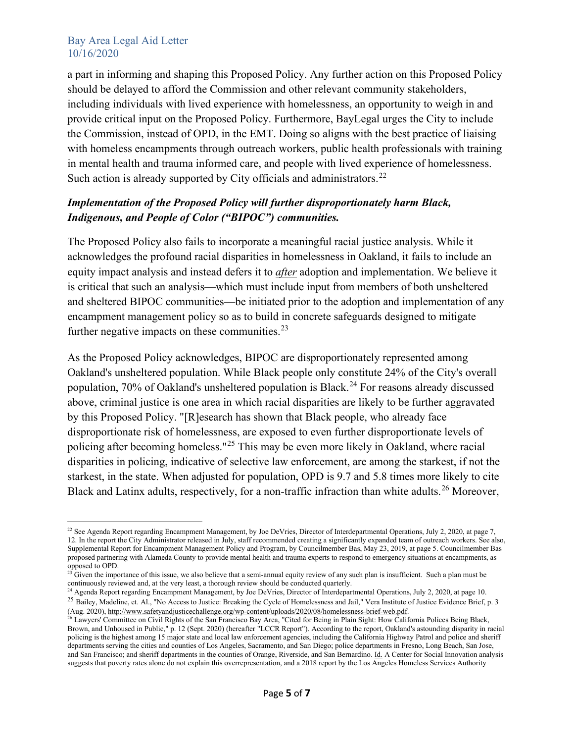a part in informing and shaping this Proposed Policy. Any further action on this Proposed Policy should be delayed to afford the Commission and other relevant community stakeholders, including individuals with lived experience with homelessness, an opportunity to weigh in and provide critical input on the Proposed Policy. Furthermore, BayLegal urges the City to include the Commission, instead of OPD, in the EMT. Doing so aligns with the best practice of liaising with homeless encampments through outreach workers, public health professionals with training in mental health and trauma informed care, and people with lived experience of homelessness. Such action is already supported by City officials and administrators.<sup>[22](#page-4-0)</sup>

## *Implementation of the Proposed Policy will further disproportionately harm Black, Indigenous, and People of Color ("BIPOC") communities.*

The Proposed Policy also fails to incorporate a meaningful racial justice analysis. While it acknowledges the profound racial disparities in homelessness in Oakland, it fails to include an equity impact analysis and instead defers it to *after* adoption and implementation. We believe it is critical that such an analysis—which must include input from members of both unsheltered and sheltered BIPOC communities—be initiated prior to the adoption and implementation of any encampment management policy so as to build in concrete safeguards designed to mitigate further negative impacts on these communities. $^{23}$  $^{23}$  $^{23}$ 

As the Proposed Policy acknowledges, BIPOC are disproportionately represented among Oakland's unsheltered population. While Black people only constitute 24% of the City's overall population, 70% of Oakland's unsheltered population is Black.<sup>[24](#page-4-2)</sup> For reasons already discussed above, criminal justice is one area in which racial disparities are likely to be further aggravated by this Proposed Policy. "[R]esearch has shown that Black people, who already face disproportionate risk of homelessness, are exposed to even further disproportionate levels of policing after becoming homeless."[25](#page-4-3) This may be even more likely in Oakland, where racial disparities in policing, indicative of selective law enforcement, are among the starkest, if not the starkest, in the state. When adjusted for population, OPD is 9.7 and 5.8 times more likely to cite Black and Latinx adults, respectively, for a non-traffic infraction than white adults.<sup>[26](#page-4-4)</sup> Moreover,

<span id="page-4-0"></span><sup>&</sup>lt;sup>22</sup> See Agenda Report regarding Encampment Management, by Joe DeVries, Director of Interdepartmental Operations, July 2, 2020, at page 7, 12. In the report the City Administrator released in July, staff recommended creating a significantly expanded team of outreach workers. See also, Supplemental Report for Encampment Management Policy and Program, by Councilmember Bas, May 23, 2019, at page 5. Councilmember Bas proposed partnering with Alameda County to provide mental health and trauma experts to respond to emergency situations at encampments, as opposed to OPD.

<span id="page-4-1"></span> $23$  Given the importance of this issue, we also believe that a semi-annual equity review of any such plan is insufficient. Such a plan must be continuously reviewed and, at the very least, a thorough review should be conducted quarterly.

<span id="page-4-3"></span><span id="page-4-2"></span><sup>&</sup>lt;sup>24</sup> Agenda Report regarding Encampment Management, by Joe DeVries, Director of Interdepartmental Operations, July 2, 2020, at page 10. <sup>25</sup> Bailey, Madeline, et. Al., "No Access to Justice: Breaking the Cycle of Homelessness and Jail," Vera Institute of Justice Evidence Brief, p. 3 (Aug. 2020)[, http://www.safetyandjusticechallenge.org/wp-content/uploads/2020/08/homelessness-brief-web.pdf.](http://www.safetyandjusticechallenge.org/wp-content/uploads/2020/08/homelessness-brief-web.pdf)

<span id="page-4-4"></span><sup>&</sup>lt;sup>26</sup> Lawyers' Committee on Civil Rights of the San Francisco Bay Area, "Cited for Being in Plain Sight: How California Polices Being Black, Brown, and Unhoused in Public," p. 12 (Sept. 2020) (hereafter "LCCR Report"). According to the report, Oakland's astounding disparity in racial policing is the highest among 15 major state and local law enforcement agencies, including the California Highway Patrol and police and sheriff departments serving the cities and counties of Los Angeles, Sacramento, and San Diego; police departments in Fresno, Long Beach, San Jose, and San Francisco; and sheriff departments in the counties of Orange, Riverside, and San Bernardino. Id. A Center for Social Innovation analysis suggests that poverty rates alone do not explain this overrepresentation, and a 2018 report by the Los Angeles Homeless Services Authority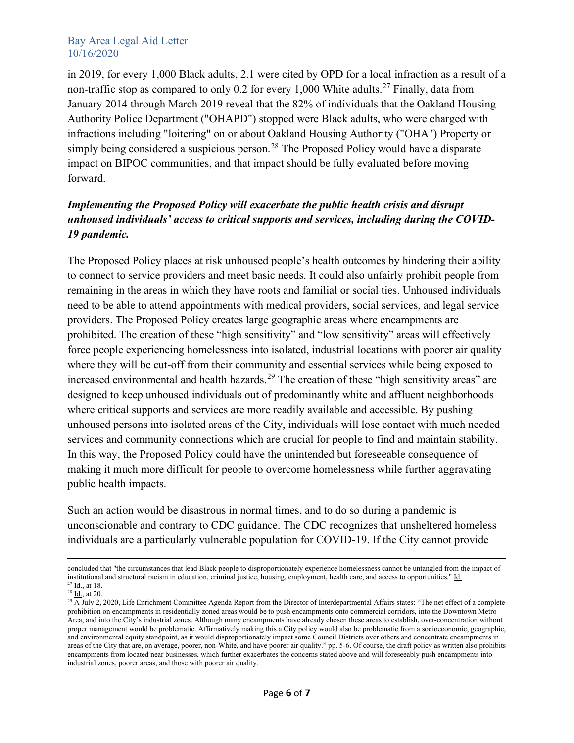in 2019, for every 1,000 Black adults, 2.1 were cited by OPD for a local infraction as a result of a non-traffic stop as compared to only 0.2 for every 1,000 White adults.<sup>[27](#page-5-0)</sup> Finally, data from January 2014 through March 2019 reveal that the 82% of individuals that the Oakland Housing Authority Police Department ("OHAPD") stopped were Black adults, who were charged with infractions including "loitering" on or about Oakland Housing Authority ("OHA") Property or simply being considered a suspicious person.<sup>[28](#page-5-1)</sup> The Proposed Policy would have a disparate impact on BIPOC communities, and that impact should be fully evaluated before moving forward.

## *Implementing the Proposed Policy will exacerbate the public health crisis and disrupt unhoused individuals' access to critical supports and services, including during the COVID-19 pandemic.*

The Proposed Policy places at risk unhoused people's health outcomes by hindering their ability to connect to service providers and meet basic needs. It could also unfairly prohibit people from remaining in the areas in which they have roots and familial or social ties. Unhoused individuals need to be able to attend appointments with medical providers, social services, and legal service providers. The Proposed Policy creates large geographic areas where encampments are prohibited. The creation of these "high sensitivity" and "low sensitivity" areas will effectively force people experiencing homelessness into isolated, industrial locations with poorer air quality where they will be cut-off from their community and essential services while being exposed to increased environmental and health hazards.<sup>[29](#page-5-2)</sup> The creation of these "high sensitivity areas" are designed to keep unhoused individuals out of predominantly white and affluent neighborhoods where critical supports and services are more readily available and accessible. By pushing unhoused persons into isolated areas of the City, individuals will lose contact with much needed services and community connections which are crucial for people to find and maintain stability. In this way, the Proposed Policy could have the unintended but foreseeable consequence of making it much more difficult for people to overcome homelessness while further aggravating public health impacts.

Such an action would be disastrous in normal times, and to do so during a pandemic is unconscionable and contrary to CDC guidance. The CDC recognizes that unsheltered homeless individuals are a particularly vulnerable population for COVID-19. If the City cannot provide

concluded that "the circumstances that lead Black people to disproportionately experience homelessness cannot be untangled from the impact of institutional and structural racism in education, criminal justice, housing, employment, health care, and access to opportunities." Id.  $27$   $\underline{Id}$ , at 18.

<span id="page-5-1"></span><span id="page-5-0"></span> $28 \overline{\underline{Id.}}$ , at 20.

<span id="page-5-2"></span> $^{29}$  A July 2, 2020, Life Enrichment Committee Agenda Report from the Director of Interdepartmental Affairs states: "The net effect of a complete prohibition on encampments in residentially zoned areas would be to push encampments onto commercial corridors, into the Downtown Metro Area, and into the City's industrial zones. Although many encampments have already chosen these areas to establish, over-concentration without proper management would be problematic. Affirmatively making this a City policy would also be problematic from a socioeconomic, geographic, and environmental equity standpoint, as it would disproportionately impact some Council Districts over others and concentrate encampments in areas of the City that are, on average, poorer, non-White, and have poorer air quality." pp. 5-6. Of course, the draft policy as written also prohibits encampments from located near businesses, which further exacerbates the concerns stated above and will foreseeably push encampments into industrial zones, poorer areas, and those with poorer air quality.